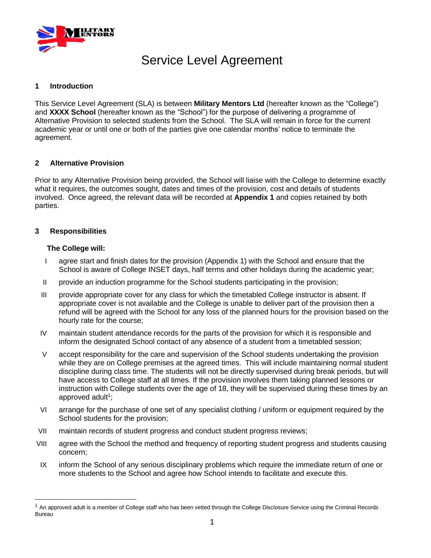

# Service Level Agreement

#### **1 Introduction**

This Service Level Agreement (SLA) is between **Military Mentors Ltd** (hereafter known as the "College") and **XXXX School** (hereafter known as the "School") for the purpose of delivering a programme of Alternative Provision to selected students from the School. The SLA will remain in force for the current academic year or until one or both of the parties give one calendar months' notice to terminate the agreement.

# **2 Alternative Provision**

Prior to any Alternative Provision being provided, the School will liaise with the College to determine exactly what it requires, the outcomes sought, dates and times of the provision, cost and details of students involved. Once agreed, the relevant data will be recorded at **Appendix 1** and copies retained by both parties.

#### **3 Responsibilities**

#### **The College will:**

- I agree start and finish dates for the provision (Appendix 1) with the School and ensure that the School is aware of College INSET days, half terms and other holidays during the academic year;
- II provide an induction programme for the School students participating in the provision;
- III provide appropriate cover for any class for which the timetabled College instructor is absent. If appropriate cover is not available and the College is unable to deliver part of the provision then a refund will be agreed with the School for any loss of the planned hours for the provision based on the hourly rate for the course;
- IV maintain student attendance records for the parts of the provision for which it is responsible and inform the designated School contact of any absence of a student from a timetabled session;
- V accept responsibility for the care and supervision of the School students undertaking the provision while they are on College premises at the agreed times. This will include maintaining normal student discipline during class time. The students will not be directly supervised during break periods, but will have access to College staff at all times. If the provision involves them taking planned lessons or instruction with College students over the age of 18, they will be supervised during these times by an approved adult<sup>1</sup>;
- VI arrange for the purchase of one set of any specialist clothing / uniform or equipment required by the School students for the provision;
- VII maintain records of student progress and conduct student progress reviews;
- VIII agree with the School the method and frequency of reporting student progress and students causing concern;
- IX inform the School of any serious disciplinary problems which require the immediate return of one or more students to the School and agree how School intends to facilitate and execute this.

 $1$  An approved adult is a member of College staff who has been vetted through the College Disclosure Service using the Criminal Records Bureau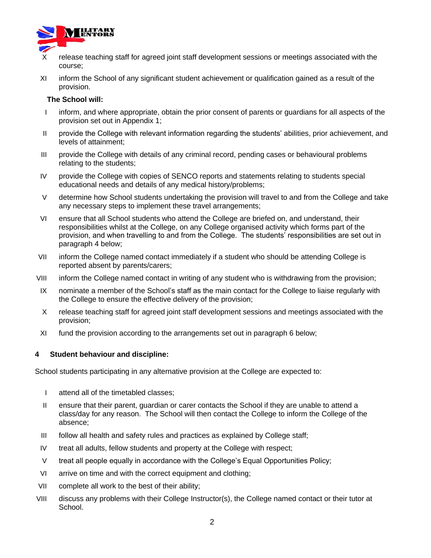

- release teaching staff for agreed joint staff development sessions or meetings associated with the course;
- XI inform the School of any significant student achievement or qualification gained as a result of the provision.

#### **The School will:**

- I inform, and where appropriate, obtain the prior consent of parents or guardians for all aspects of the provision set out in Appendix 1;
- II provide the College with relevant information regarding the students' abilities, prior achievement, and levels of attainment;
- III provide the College with details of any criminal record, pending cases or behavioural problems relating to the students;
- IV provide the College with copies of SENCO reports and statements relating to students special educational needs and details of any medical history/problems;
- V determine how School students undertaking the provision will travel to and from the College and take any necessary steps to implement these travel arrangements;
- VI ensure that all School students who attend the College are briefed on, and understand, their responsibilities whilst at the College, on any College organised activity which forms part of the provision, and when travelling to and from the College. The students' responsibilities are set out in paragraph 4 below;
- VII inform the College named contact immediately if a student who should be attending College is reported absent by parents/carers;
- VIII inform the College named contact in writing of any student who is withdrawing from the provision;
- IX nominate a member of the School's staff as the main contact for the College to liaise regularly with the College to ensure the effective delivery of the provision;
- X release teaching staff for agreed joint staff development sessions and meetings associated with the provision;
- XI fund the provision according to the arrangements set out in paragraph 6 below;

# **4 Student behaviour and discipline:**

School students participating in any alternative provision at the College are expected to:

- I attend all of the timetabled classes;
- II ensure that their parent, guardian or carer contacts the School if they are unable to attend a class/day for any reason. The School will then contact the College to inform the College of the absence;
- III follow all health and safety rules and practices as explained by College staff;
- IV treat all adults, fellow students and property at the College with respect;
- V treat all people equally in accordance with the College's Equal Opportunities Policy;
- VI arrive on time and with the correct equipment and clothing;
- VII complete all work to the best of their ability;
- VIII discuss any problems with their College Instructor(s), the College named contact or their tutor at School.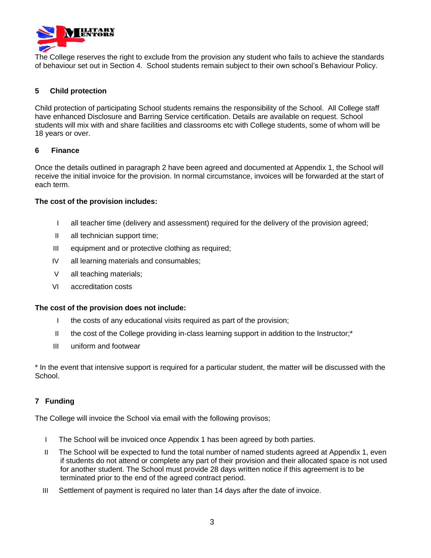

The College reserves the right to exclude from the provision any student who fails to achieve the standards of behaviour set out in Section 4. School students remain subject to their own school's Behaviour Policy.

# **5 Child protection**

Child protection of participating School students remains the responsibility of the School. All College staff have enhanced Disclosure and Barring Service certification. Details are available on request. School students will mix with and share facilities and classrooms etc with College students, some of whom will be 18 years or over.

#### **6 Finance**

Once the details outlined in paragraph 2 have been agreed and documented at Appendix 1, the School will receive the initial invoice for the provision. In normal circumstance, invoices will be forwarded at the start of each term.

# **The cost of the provision includes:**

- I all teacher time (delivery and assessment) required for the delivery of the provision agreed;
- II all technician support time;
- III equipment and or protective clothing as required;
- IV all learning materials and consumables;
- V all teaching materials;
- VI accreditation costs

# **The cost of the provision does not include:**

- I the costs of any educational visits required as part of the provision;
- II the cost of the College providing in-class learning support in addition to the Instructor;\*
- III uniform and footwear

\* In the event that intensive support is required for a particular student, the matter will be discussed with the School.

# **7 Funding**

The College will invoice the School via email with the following provisos;

- I The School will be invoiced once Appendix 1 has been agreed by both parties.
- II The School will be expected to fund the total number of named students agreed at Appendix 1, even if students do not attend or complete any part of their provision and their allocated space is not used for another student. The School must provide 28 days written notice if this agreement is to be terminated prior to the end of the agreed contract period.
- III Settlement of payment is required no later than 14 days after the date of invoice.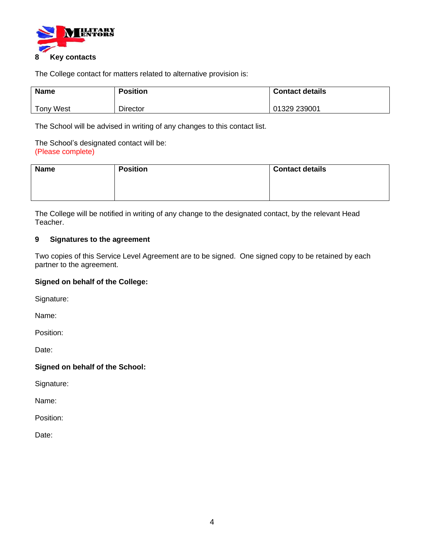

The College contact for matters related to alternative provision is:

| <b>Name</b> | <b>Position</b> | <b>Contact details</b> |
|-------------|-----------------|------------------------|
| Tony West   | Director        | 01329 239001           |

The School will be advised in writing of any changes to this contact list.

The School's designated contact will be: (Please complete)

| <b>Name</b> | <b>Position</b> | <b>Contact details</b> |  |
|-------------|-----------------|------------------------|--|
|             |                 |                        |  |
|             |                 |                        |  |

The College will be notified in writing of any change to the designated contact, by the relevant Head Teacher.

# **9 Signatures to the agreement**

Two copies of this Service Level Agreement are to be signed. One signed copy to be retained by each partner to the agreement.

# **Signed on behalf of the College:**

Signature:

Name:

Position:

Date:

# **Signed on behalf of the School:**

Signature:

Name:

Position:

Date: